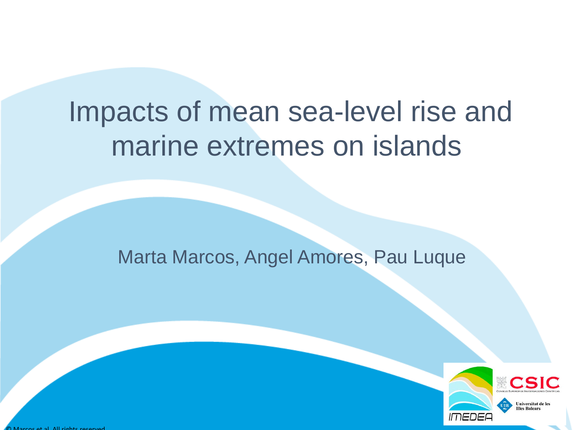# Impacts of mean sea-level rise and marine extremes on islands

## Marta Marcos, Angel Amores, Pau Luque



© Marcos et al. All rights reserved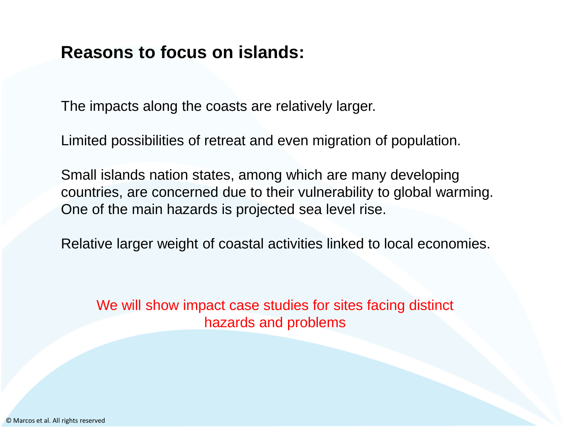### **Reasons to focus on islands:**

The impacts along the coasts are relatively larger.

Limited possibilities of retreat and even migration of population.

Small islands nation states, among which are many developing countries, are concerned due to their vulnerability to global warming. One of the main hazards is projected sea level rise.

Relative larger weight of coastal activities linked to local economies.

We will show impact case studies for sites facing distinct hazards and problems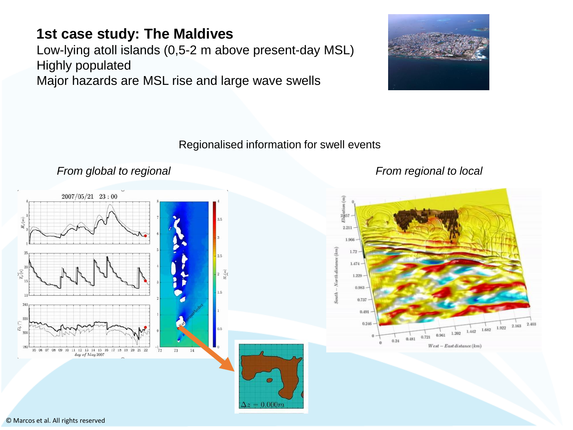### **1st case study: The Maldives**

Low-lying atoll islands (0,5-2 m above present-day MSL) Highly populated Major hazards are MSL rise and large wave swells



### Regionalised information for swell events

### *From global to regional From regional to local*



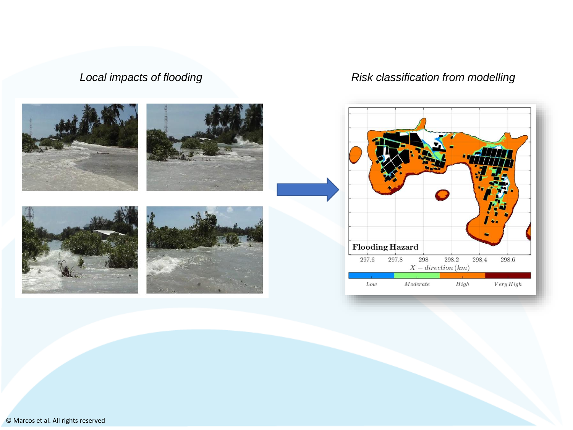### *Local impacts of flooding Risk classification from modelling*

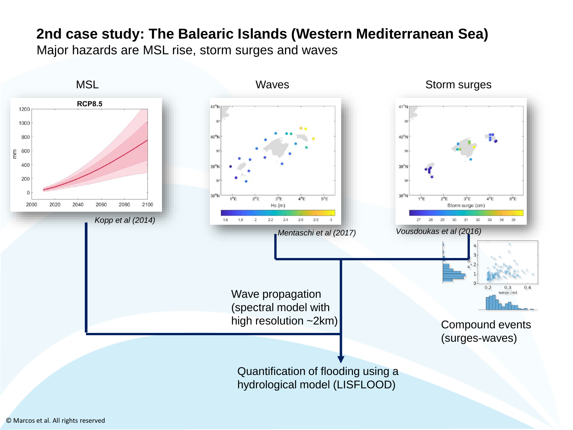### **2nd case study: The Balearic Islands (Western Mediterranean Sea)** Major hazards are MSL rise, storm surges and waves

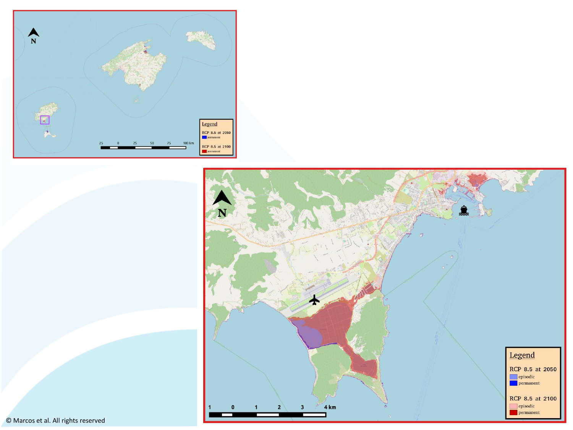



© Marcos et al. All rights reserved